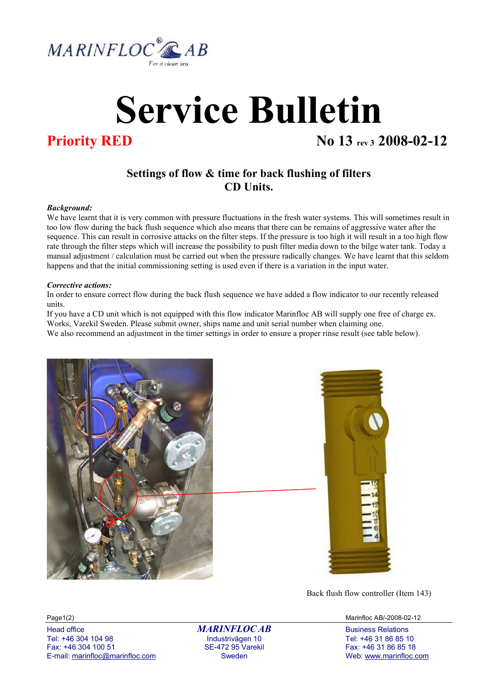

# Service Bulletin

## **Priority RED** No 13 rev 3 2008-02-12

## Settings of flow & time for back flushing of filters CD Units.

#### Background:

We have learnt that it is very common with pressure fluctuations in the fresh water systems. This will sometimes result in too low flow during the back flush sequence which also means that there can be remains of aggressive water after the sequence. This can result in corrosive attacks on the filter steps. If the pressure is too high it will result in a too high flow rate through the filter steps which will increase the possibility to push filter media down to the bilge water tank. Today a manual adjustment / calculation must be carried out when the pressure radically changes. We have learnt that this seldom happens and that the initial commissioning setting is used even if there is a variation in the input water.

#### Corrective actions:

In order to ensure correct flow during the back flush sequence we have added a flow indicator to our recently released units.

If you have a CD unit which is not equipped with this flow indicator Marinfloc AB will supply one free of charge ex. Works, Varekil Sweden. Please submit owner, ships name and unit serial number when claiming one. We also recommend an adjustment in the timer settings in order to ensure a proper rinse result (see table below).





Back flush flow controller (Item 143)

Tel: +46 304 104 98 Industrivägen 10 Tel: +46 31 86 85 10 Fax: +46 304 100 51 SE-472 95 Varekil Fax: +46 304 100 51 SE-472 95 Varekil Fax: +46 31 86 85 18<br>E-mail: marinfloc@marinfloc.com Sweden Sweden Sweden Web: www.marinfloc.c